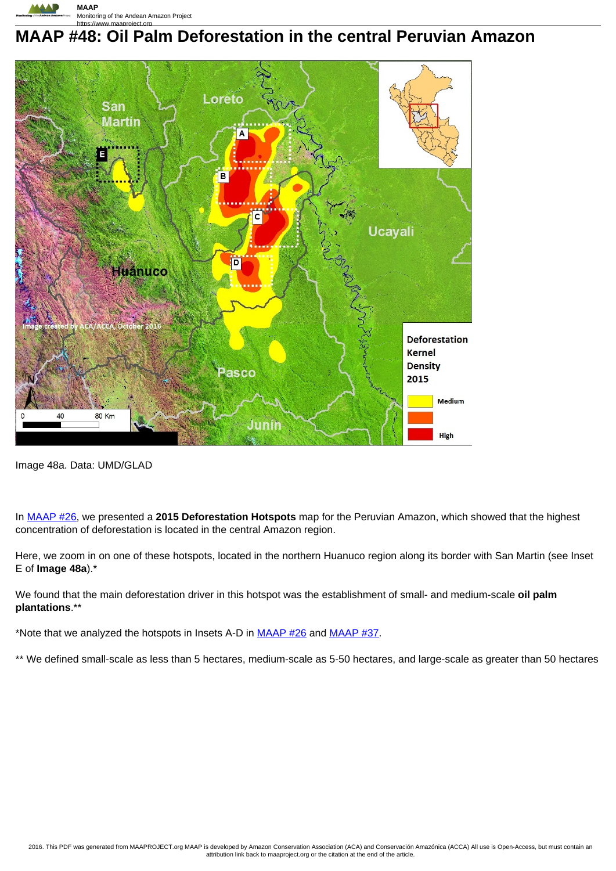

## **MAAP #48: Oil Palm Deforestation in the central Peruvian Amazon**



Image 48a. Data: UMD/GLAD

In MAAP #26, we presented a **2015 Deforestation Hotspots** map for the Peruvian Amazon, which showed that the highest concentration of deforestation is located in the central Amazon region.

Here, we zoom in on one of these hotspots, located in the northern Huanuco region along its border with San Martin (see Inset E of **Image 48a**).\*

We found that the main deforestation driver in this hotspot was the establishment of small- and medium-scale **oil palm plantations**.\*\*

\*Note that we analyzed the hotspots in Insets A-D in  $MAAP$  #26 and  $MAAP$  #37.

\*\* We defined small-scale as less than 5 hectares, medium-scale as 5-50 hectares, and large-scale as greater than 50 hectares